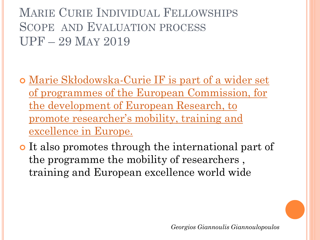- Marie Skłodowska-Curie IF is part of a wider set of programmes of the European Commission, for the development of European Research, to [promote researcher's mobility, training and](WORK PROGRAM 2018-2020.pdf)  excellence in Europe.
- o It also promotes through the international part of the programme the mobility of researchers , training and European excellence world wide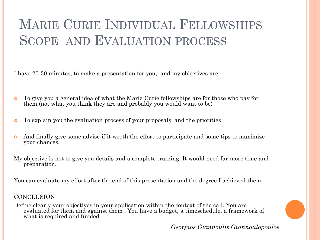I have 20-30 minutes, to make a presentation for you, and my objectives are:

- To give you a general idea of what the Marie Curie fellowships are for those who pay for them,(not what you think they are and probably you would want to be)
- To explain you the evaluation process of your proposals and the priorities
- And finally give some advise if it wroth the effort to participate and some tips to maximize your chances.
- My objective is not to give you details and a complete training. It would need far more time and preparation.

You can evaluate my effort after the end of this presentation and the degree I achieved them.

#### **CONCLUSION**

Define clearly your objectives in your application within the context of the call. You are evaluated for them and against them . You have a budget, a timeschedule, a framework of what is required and funded.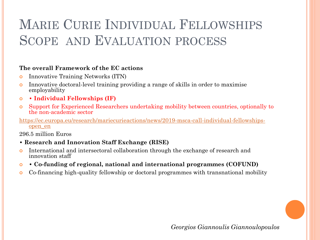#### **The overall Framework of the EC actions**

- **o** Innovative Training Networks (ITN)
- Innovative doctoral-level training providing a range of skills in order to maximise employability
- **Individual Fellowships (IF)**
- Support for Experienced Researchers undertaking mobility between countries, optionally to the non-academic sector
- [https://ec.europa.eu/research/mariecurieactions/news/2019-msca-call-individual-fellowships](https://ec.europa.eu/research/mariecurieactions/news/2019-msca-call-individual-fellowships-open_en)open\_en

296.5 million Euros

- **Research and Innovation Staff Exchange (RISE)**
- International and intersectoral collaboration through the exchange of research and innovation staff
- **Co-funding of regional, national and international programmes (COFUND)**
- Co-financing high-quality fellowship or doctoral programmes with transnational mobility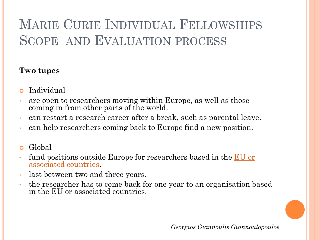#### **Two tupes**

- Individual
- are open to researchers moving within Europe, as well as those coming in from other parts of the world.
- can restart a research career after a break, such as parental leave.
- can help researchers coming back to Europe find a new position.
- **o** Global
- [fund positions outside Europe for researchers based in the](http://ec.europa.eu/research/participants/data/ref/h2020/other/wp/2016-2017/annexes/h2020-wp1617-annex-a-countries-rules_en.pdf) EU or associated countries.
- last between two and three years.
- the researcher has to come back for one year to an organisation based in the EU or associated countries.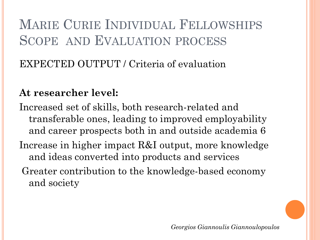#### EXPECTED OUTPUT / Criteria of evaluation

#### **At researcher level:**

Increased set of skills, both research-related and transferable ones, leading to improved employability and career prospects both in and outside academia 6 Increase in higher impact R&I output, more knowledge and ideas converted into products and services Greater contribution to the knowledge-based economy and society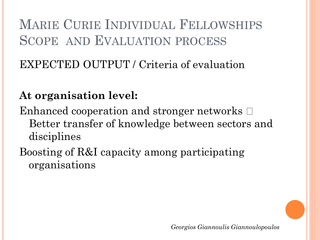### EXPECTED OUTPUT / Criteria of evaluation

### **At organisation level:**

Enhanced cooperation and stronger networks  $\Box$ Better transfer of knowledge between sectors and disciplines

Boosting of R&I capacity among participating organisations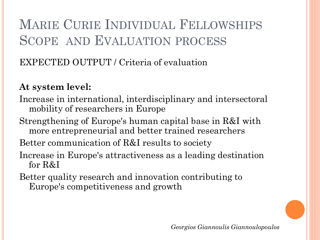EXPECTED OUTPUT / Criteria of evaluation

#### **At system level:**

- Increase in international, interdisciplinary and intersectoral mobility of researchers in Europe
- Strengthening of Europe's human capital base in R&I with more entrepreneurial and better trained researchers

Better communication of R&I results to society

- Increase in Europe's attractiveness as a leading destination for R&I
- Better quality research and innovation contributing to Europe's competitiveness and growth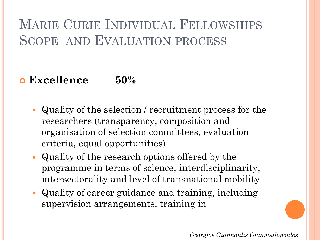#### **Excellence 50%**

- Quality of the selection / recruitment process for the researchers (transparency, composition and organisation of selection committees, evaluation criteria, equal opportunities)
- Quality of the research options offered by the programme in terms of science, interdisciplinarity, intersectorality and level of transnational mobility
- Quality of career guidance and training, including supervision arrangements, training in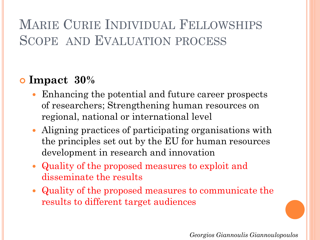### **Impact 30%**

- Enhancing the potential and future career prospects of researchers; Strengthening human resources on regional, national or international level
- Aligning practices of participating organisations with the principles set out by the EU for human resources development in research and innovation
- Quality of the proposed measures to exploit and disseminate the results
- Quality of the proposed measures to communicate the results to different target audiences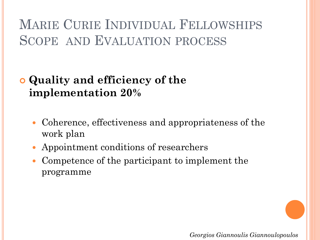### **Quality and efficiency of the implementation 20%**

- Coherence, effectiveness and appropriateness of the work plan
- Appointment conditions of researchers
- Competence of the participant to implement the programme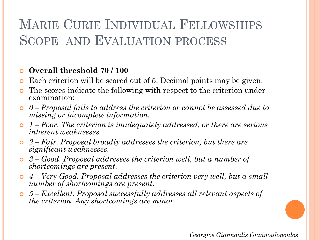#### **Overall threshold 70 / 100**

- Each criterion will be scored out of 5. Decimal points may be given.
- The scores indicate the following with respect to the criterion under examination:
- *0 – Proposal fails to address the criterion or cannot be assessed due to missing or incomplete information.*
- *1 – Poor. The criterion is inadequately addressed, or there are serious inherent weaknesses.*
- *2 – Fair. Proposal broadly addresses the criterion, but there are significant weaknesses.*
- *3 – Good. Proposal addresses the criterion well, but a number of shortcomings are present.*
- *4 – Very Good. Proposal addresses the criterion very well, but a small number of shortcomings are present.*
- *5 – Excellent. Proposal successfully addresses all relevant aspects of the criterion. Any shortcomings are minor.*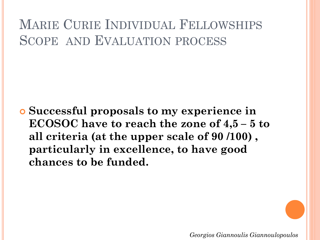**Successful proposals to my experience in ECOSOC have to reach the zone of 4,5 – 5 to all criteria (at the upper scale of 90 /100) , particularly in excellence, to have good chances to be funded.**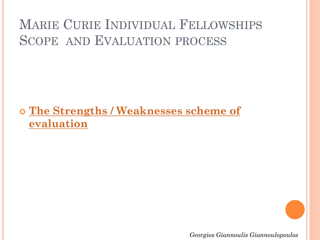### **[The Strengths / Weaknesses scheme of](Winning proposal mergedIER-Y.docx)  evaluation**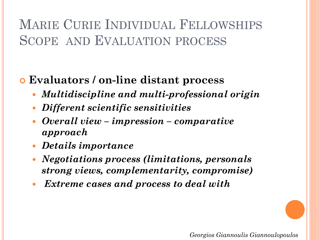### **Evaluators / on-line distant process**

- *Multidiscipline and multi-professional origin*
- *Different scientific sensitivities*
- *Overall view – impression – comparative approach*
- *Details importance*
- *Negotiations process (limitations, personals strong views, complementarity, compromise)*
- *Extreme cases and process to deal with*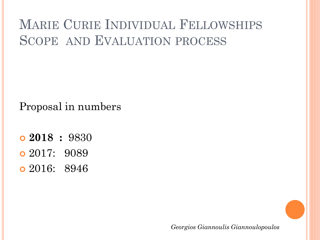Proposal in numbers

- **2018 :** 9830
- 2017: 9089
- 2016: 8946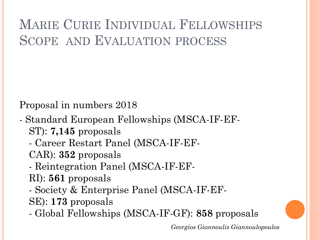Proposal in numbers 2018

- Standard European Fellowships (MSCA-IF-EF-ST): **7,145** proposals
	- Career Restart Panel (MSCA-IF-EF-
	- CAR): **352** proposals
	- Reintegration Panel (MSCA-IF-EF-
	- RI): **561** proposals
	- Society & Enterprise Panel (MSCA-IF-EF-
	- SE): **173** proposals
	- Global Fellowships (MSCA-IF-GF): **858** proposals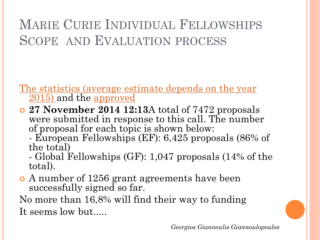The statistics (average estimate depends on the year 2015) and the approved

- **27 November 2014 12:13**A total of 7472 proposals were submitted in response to this call. The number of proposal for each topic is shown below:
	- European Fellowships (EF): 6,425 proposals (86% of the total)

- Global Fellowships (GF): 1,047 proposals (14% of the total).

 A number of 1256 grant agreements have been successfully signed so far.

No more than 16,8% will find their way to funding It seems low but.....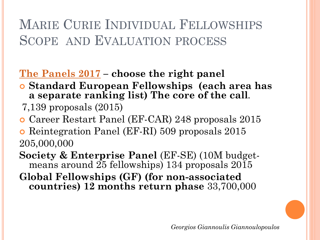### **[The Panels 2017](public/1757609-flash_call_info_msca_if_2016_en.pdf) – choose the right panel**

- **Standard European Fellowships (each area has a separate ranking list) The core of the call**.
- 7,139 proposals (2015)
- Career Restart Panel (EF-CAR) 248 proposals 2015
- Reintegration Panel (EF-RI) 509 proposals 2015 205,000,000
- **Society & Enterprise Panel** (EF-SE) (10M budgetmeans around 25 fellowships) 134 proposals 2015
- **Global Fellowships (GF) (for non-associated countries) 12 months return phase** 33,700,000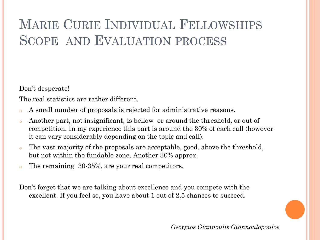Don't desperate!

The real statistics are rather different.

- A small number of proposals is rejected for administrative reasons.
- o Another part, not insignificant, is bellow or around the threshold, or out of competition. In my experience this part is around the 30% of each call (however it can vary considerably depending on the topic and call).
- o The vast majority of the proposals are acceptable, good, above the threshold, but not within the fundable zone. Another 30% approx.
- o The remaining 30-35%, are your real competitors.

Don't forget that we are talking about excellence and you compete with the excellent. If you feel so, you have about 1 out of 2,5 chances to succeed.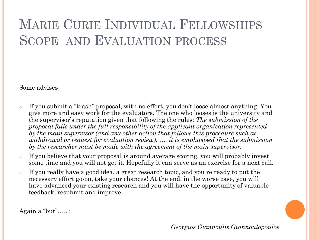Some advises

- o If you submit a "trash" proposal, with no effort, you don't loose almost anything. You give more and easy work for the evaluators. The one who looses is the university and the supervisor's reputation given that following the rules: *The submission of the proposal falls under the full responsibility of the applicant organisation represented by the main supervisor (and any other action that follows this procedure such as withdrawal or request for evaluation review). .... it is emphasised that the submission by the researcher must be made with the agreement of the main supervisor.*
- o If you believe that your proposal is around average scoring, you will probably invest some time and you will not get it. Hopefully it can serve as an exercise for a next call.
- o If you really have a good idea, a great research topic, and you re ready to put the necessary effort go-on, take your chances! At the end, in the worse case, you will have advanced your existing research and you will have the opportunity of valuable feedback, resubmit and improve.

Again a "but"….. :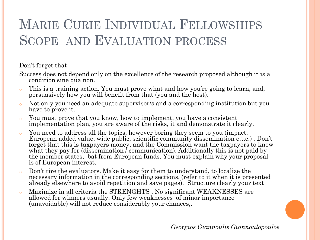Don't forget that

Success does not depend only on the excellence of the research proposed although it is a condition sine qua non.

- o This is a training action. You must prove what and how you're going to learn, and, persuasively how you will benefit from that (you and the host).
- o Not only you need an adequate supervisor/s and a corresponding institution but you have to prove it.
- o You must prove that you know, how to implement, you have a consistent implementation plan, you are aware of the risks, it and demonstrate it clearly.
- o You need to address all the topics, however boring they seem to you (impact, European added value, wide public, scientific community dissemination e.t.c.) . Don't forget that this is taxpayers money, and the Commission want the taxpayers to know what they pay for (dissemination *communication*). Additionally this is not paid by the member states, bat from European funds. You must explain why your proposal is of European interest.
- Don't tire the evaluators. Make it easy for them to understand, to localize the necessary information in the corresponding sections, (refer to it when it is presented already elsewhere to avoid repetition and save pages). Structure clearly your text
- Maximize in all criteria the STRENGHTS . No significant WEAKNESSES are allowed for winners usually. Only few weaknesses of minor importance (unavoidable) will not reduce considerably your chances,.